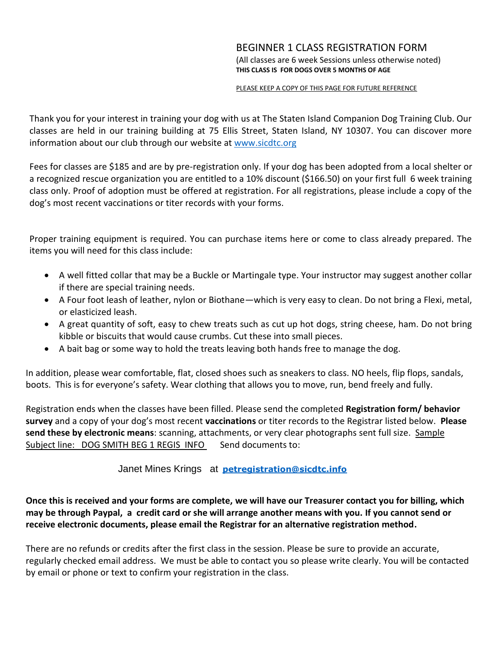#### BEGINNER 1 CLASS REGISTRATION FORM (All classes are 6 week Sessions unless otherwise noted) **THIS CLASS IS FOR DOGS OVER 5 MONTHS OF AGE**

#### PLEASE KEEP A COPY OF THIS PAGE FOR FUTURE REFERENCE

Thank you for your interest in training your dog with us at The Staten Island Companion Dog Training Club. Our classes are held in our training building at 75 Ellis Street, Staten Island, NY 10307. You can discover more information about our club through our website a[t www.sicdtc.org](http://www.sicdtc.org/)

Fees for classes are \$185 and are by pre-registration only. If your dog has been adopted from a local shelter or a recognized rescue organization you are entitled to a 10% discount (\$166.50) on your first full 6 week training class only. Proof of adoption must be offered at registration. For all registrations, please include a copy of the dog's most recent vaccinations or titer records with your forms.

Proper training equipment is required. You can purchase items here or come to class already prepared. The items you will need for this class include:

- A well fitted collar that may be a Buckle or Martingale type. Your instructor may suggest another collar if there are special training needs.
- A Four foot leash of leather, nylon or Biothane—which is very easy to clean. Do not bring a Flexi, metal, or elasticized leash.
- A great quantity of soft, easy to chew treats such as cut up hot dogs, string cheese, ham. Do not bring kibble or biscuits that would cause crumbs. Cut these into small pieces.
- A bait bag or some way to hold the treats leaving both hands free to manage the dog.

In addition, please wear comfortable, flat, closed shoes such as sneakers to class. NO heels, flip flops, sandals, boots. This is for everyone's safety. Wear clothing that allows you to move, run, bend freely and fully.

Registration ends when the classes have been filled. Please send the completed **Registration form/ behavior survey** and a copy of your dog's most recent **vaccinations** or titer records to the Registrar listed below. **Please send these by electronic means**: scanning, attachments, or very clear photographs sent full size. Sample Subject line: DOG SMITH BEG 1 REGIS INFO Send documents to:

### Janet Mines Krings at **[petregistration@sicdtc.info](mailto:petregistration@sicdtc.info)**

**Once this is received and your forms are complete, we will have our Treasurer contact you for billing, which may be through Paypal, a credit card or she will arrange another means with you. If you cannot send or receive electronic documents, please email the Registrar for an alternative registration method.**

There are no refunds or credits after the first class in the session. Please be sure to provide an accurate, regularly checked email address. We must be able to contact you so please write clearly. You will be contacted by email or phone or text to confirm your registration in the class.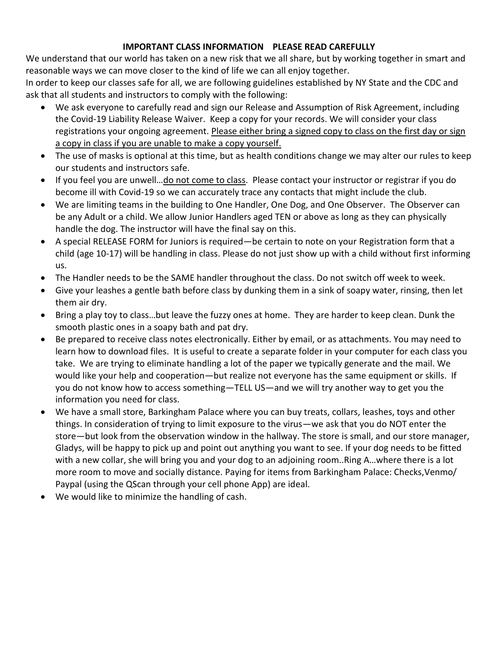## **IMPORTANT CLASS INFORMATION PLEASE READ CAREFULLY**

We understand that our world has taken on a new risk that we all share, but by working together in smart and reasonable ways we can move closer to the kind of life we can all enjoy together.

In order to keep our classes safe for all, we are following guidelines established by NY State and the CDC and ask that all students and instructors to comply with the following:

- We ask everyone to carefully read and sign our Release and Assumption of Risk Agreement, including the Covid-19 Liability Release Waiver. Keep a copy for your records. We will consider your class registrations your ongoing agreement. Please either bring a signed copy to class on the first day or sign a copy in class if you are unable to make a copy yourself.
- The use of masks is optional at this time, but as health conditions change we may alter our rules to keep our students and instructors safe.
- If you feel you are unwell…do not come to class. Please contact your instructor or registrar if you do become ill with Covid-19 so we can accurately trace any contacts that might include the club.
- We are limiting teams in the building to One Handler, One Dog, and One Observer. The Observer can be any Adult or a child. We allow Junior Handlers aged TEN or above as long as they can physically handle the dog. The instructor will have the final say on this.
- A special RELEASE FORM for Juniors is required—be certain to note on your Registration form that a child (age 10-17) will be handling in class. Please do not just show up with a child without first informing us.
- The Handler needs to be the SAME handler throughout the class. Do not switch off week to week.
- Give your leashes a gentle bath before class by dunking them in a sink of soapy water, rinsing, then let them air dry.
- Bring a play toy to class…but leave the fuzzy ones at home. They are harder to keep clean. Dunk the smooth plastic ones in a soapy bath and pat dry.
- Be prepared to receive class notes electronically. Either by email, or as attachments. You may need to learn how to download files. It is useful to create a separate folder in your computer for each class you take. We are trying to eliminate handling a lot of the paper we typically generate and the mail. We would like your help and cooperation—but realize not everyone has the same equipment or skills. If you do not know how to access something—TELL US—and we will try another way to get you the information you need for class.
- We have a small store, Barkingham Palace where you can buy treats, collars, leashes, toys and other things. In consideration of trying to limit exposure to the virus—we ask that you do NOT enter the store—but look from the observation window in the hallway. The store is small, and our store manager, Gladys, will be happy to pick up and point out anything you want to see. If your dog needs to be fitted with a new collar, she will bring you and your dog to an adjoining room..Ring A…where there is a lot more room to move and socially distance. Paying for items from Barkingham Palace: Checks,Venmo/ Paypal (using the QScan through your cell phone App) are ideal.
- We would like to minimize the handling of cash.